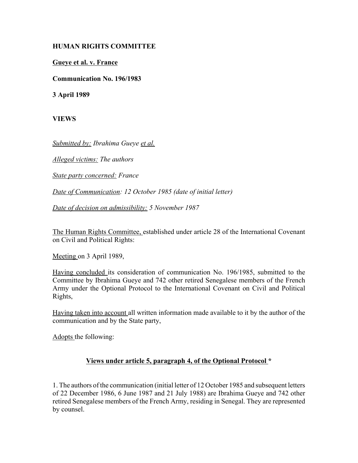## **HUMAN RIGHTS COMMITTEE**

**Gueye et al. v. France**

**Communication No. 196/1983** 

**3 April 1989**

**VIEWS**

*Submitted by: Ibrahima Gueye et al.*

*Alleged victims: The authors* 

*State party concerned: France* 

*Date of Communication: 12 October 1985 (date of initial letter)* 

*Date of decision on admissibility: 5 November 1987* 

The Human Rights Committee, established under article 28 of the International Covenant on Civil and Political Rights:

Meeting on 3 April 1989,

Having concluded its consideration of communication No. 196/1985, submitted to the Committee by Ibrahima Gueye and 742 other retired Senegalese members of the French Army under the Optional Protocol to the International Covenant on Civil and Political Rights,

Having taken into account all written information made available to it by the author of the communication and by the State party,

Adopts the following:

## **Views under article 5, paragraph 4, of the Optional Protocol \***

1. The authors of the communication (initial letter of 12 October 1985 and subsequent letters of 22 December 1986, 6 June 1987 and 21 July 1988) are Ibrahima Gueye and 742 other retired Senegalese members of the French Army, residing in Senegal. They are represented by counsel.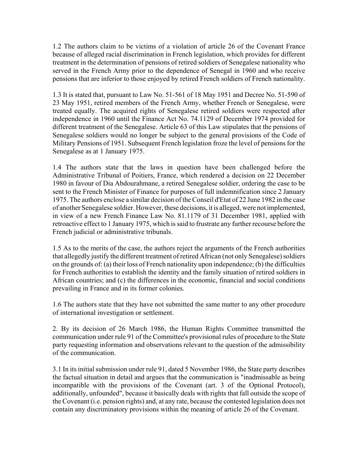1.2 The authors claim to be victims of a violation of article 26 of the Covenant France because of alleged racial discrimination in French legislation, which provides for different treatment in the determination of pensions of retired soldiers of Senegalese nationality who served in the French Army prior to the dependence of Senegal in 1960 and who receive pensions that are inferior to those enjoyed by retired French soldiers of French nationality.

1.3 It is stated that, pursuant to Law No. 51-561 of 18 May 1951 and Decree No. 51-590 of 23 May 1951, retired members of the French Army, whether French or Senegalese, were treated equally. The acquired rights of Senegalese retired soldiers were respected after independence in 1960 until the Finance Act No. 74.1129 of December 1974 provided for different treatment of the Senegalese. Article 63 of this Law stipulates that the pensions of Senegalese soldiers would no longer be subject to the general provisions of the Code of Military Pensions of 1951. Subsequent French legislation froze the level of pensions for the Senegalese as at 1 January 1975.

1.4 The authors state that the laws in question have been challenged before the Administrative Tribunal of Poitiers, France, which rendered a decision on 22 December 1980 in favour of Dia Abdourahmane, a retired Senegalese soldier, ordering the case to be sent to the French Minister of Finance for purposes of full indemnification since 2 January 1975. The authors enclose a similar decision of the Conseil d'Etat of 22 June 1982 in the case of another Senegalese soldier. However, these decisions, it is alleged, were not implemented, in view of a new French Finance Law No. 81.1179 of 31 December 1981, applied with retroactive effect to 1 January 1975, which is said to frustrate any further recourse before the French judicial or administrative tribunals.

1.5 As to the merits of the case, the authors reject the arguments of the French authorities that allegedly justify the different treatment of retired African (not only Senegalese) soldiers on the grounds of: (a) their loss of French nationality upon independence; (b) the difficulties for French authorities to establish the identity and the family situation of retired soldiers in African countries; and (c) the differences in the economic, financial and social conditions prevailing in France and in its former colonies.

1.6 The authors state that they have not submitted the same matter to any other procedure of international investigation or settlement.

2. By its decision of 26 March 1986, the Human Rights Committee transmitted the communication under rule 91 of the Committee's provisional rules of procedure to the State party requesting information and observations relevant to the question of the admissibility of the communication.

3.1 In its initial submission under rule 91, dated 5 November 1986, the State party describes the factual situation in detail and argues that the communication is "inadmissable as being incompatible with the provisions of the Covenant (art. 3 of the Optional Protocol), additionally, unfounded", because it basically deals with rights that fall outside the scope of the Covenant (i.e. pension rights) and, at any rate, because the contested legislation does not contain any discriminatory provisions within the meaning of article 26 of the Covenant.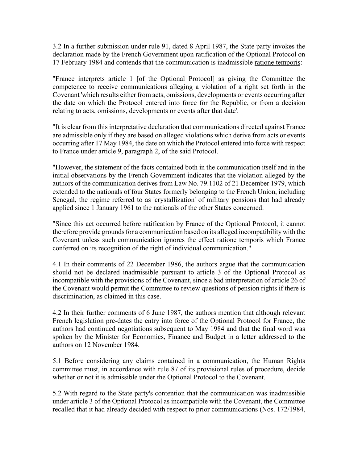3.2 In a further submission under rule 91, dated 8 April 1987, the State party invokes the declaration made by the French Government upon ratification of the Optional Protocol on 17 February 1984 and contends that the communication is inadmissible ratione temporis:

"France interprets article 1 [of the Optional Protocol] as giving the Committee the competence to receive communications alleging a violation of a right set forth in the Covenant 'which results either from acts, omissions, developments or events occurring after the date on which the Protocol entered into force for the Republic, or from a decision relating to acts, omissions, developments or events after that date'.

"It is clear from this interpretative declaration that communications directed against France are admissible only if they are based on alleged violations which derive from acts or events occurring after 17 May 1984, the date on which the Protocol entered into force with respect to France under article 9, paragraph 2, of the said Protocol.

"However, the statement of the facts contained both in the communication itself and in the initial observations by the French Government indicates that the violation alleged by the authors of the communication derives from Law No. 79.1102 of 21 December 1979, which extended to the nationals of four States formerly belonging to the French Union, including Senegal, the regime referred to as 'crystallization' of military pensions that had already applied since 1 January 1961 to the nationals of the other States concerned.

"Since this act occurred before ratification by France of the Optional Protocol, it cannot therefore provide grounds for a communication based on its alleged incompatibility with the Covenant unless such communication ignores the effect ratione temporis which France conferred on its recognition of the right of individual communication."

4.1 In their comments of 22 December 1986, the authors argue that the communication should not be declared inadmissible pursuant to article 3 of the Optional Protocol as incompatible with the provisions of the Covenant, since a bad interpretation of article 26 of the Covenant would permit the Committee to review questions of pension rights if there is discrimination, as claimed in this case.

4.2 In their further comments of 6 June 1987, the authors mention that although relevant French legislation pre-dates the entry into force of the Optional Protocol for France, the authors had continued negotiations subsequent to May 1984 and that the final word was spoken by the Minister for Economics, Finance and Budget in a letter addressed to the authors on 12 November 1984.

5.1 Before considering any claims contained in a communication, the Human Rights committee must, in accordance with rule 87 of its provisional rules of procedure, decide whether or not it is admissible under the Optional Protocol to the Covenant.

5.2 With regard to the State party's contention that the communication was inadmissible under article 3 of the Optional Protocol as incompatible with the Covenant, the Committee recalled that it had already decided with respect to prior communications (Nos. 172/1984,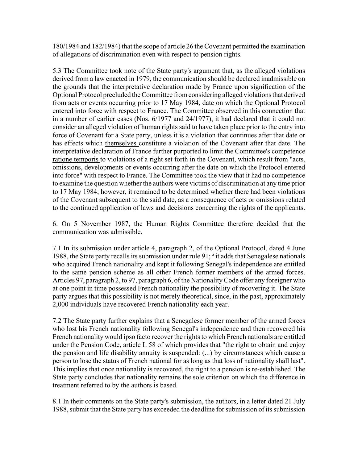180/1984 and 182/1984) that the scope of article 26 the Covenant permitted the examination of allegations of discrimination even with respect to pension rights.

5.3 The Committee took note of the State party's argument that, as the alleged violations derived from a law enacted in 1979, the communication should be declared inadmissible on the grounds that the interpretative declaration made by France upon signification of the Optional Protocol precluded the Committee from considering alleged violations that derived from acts or events occurring prior to 17 May 1984, date on which the Optional Protocol entered into force with respect to France. The Committee observed in this connection that in a number of earlier cases (Nos. 6/1977 and 24/1977), it had declared that it could not consider an alleged violation of human rights said to have taken place prior to the entry into force of Covenant for a State party, unless it is a violation that continues after that date or has effects which themselves constitute a violation of the Covenant after that date. The interpretative declaration of France further purported to limit the Committee's competence ratione temporis to violations of a right set forth in the Covenant, which result from "acts, omissions, developments or events occurring after the date on which the Protocol entered into force" with respect to France. The Committee took the view that it had no competence to examine the question whether the authors were victims of discrimination at any time prior to 17 May 1984; however, it remained to be determined whether there had been violations of the Covenant subsequent to the said date, as a consequence of acts or omissions related to the continued application of laws and decisions concerning the rights of the applicants.

6. On 5 November 1987, the Human Rights Committee therefore decided that the communication was admissible.

7.1 In its submission under article 4, paragraph 2, of the Optional Protocol, dated 4 June 1988, the State party recalls its submission under rule 91;<sup>a</sup> it adds that Senegalese nationals who acquired French nationality and kept it following Senegal's independence are entitled to the same pension scheme as all other French former members of the armed forces. Articles 97, paragraph 2, to 97, paragraph 6, of the Nationality Code offer any foreigner who at one point in time possessed French nationality the possibility of recovering it. The State party argues that this possibility is not merely theoretical, since, in the past, approximately 2,000 individuals have recovered French nationality each year.

7.2 The State party further explains that a Senegalese former member of the armed forces who lost his French nationality following Senegal's independence and then recovered his French nationality would ipso facto recover the rights to which French nationals are entitled under the Pension Code, article L 58 of which provides that "the right to obtain and enjoy the pension and life disability annuity is suspended: (...) by circumstances which cause a person to lose the status of French national for as long as that loss of nationality shall last". This implies that once nationality is recovered, the right to a pension is re-established. The State party concludes that nationality remains the sole criterion on which the difference in treatment referred to by the authors is based.

8.1 In their comments on the State party's submission, the authors, in a letter dated 21 July 1988, submit that the State party has exceeded the deadline for submission of its submission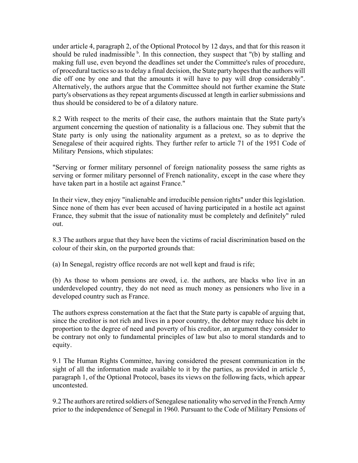under article 4, paragraph 2, of the Optional Protocol by 12 days, and that for this reason it should be ruled inadmissible  $\overline{b}$ . In this connection, they suspect that "(b) by stalling and making full use, even beyond the deadlines set under the Committee's rules of procedure, of procedural tactics so as to delay a final decision, the State party hopes that the authors will die off one by one and that the amounts it will have to pay will drop considerably". Alternatively, the authors argue that the Committee should not further examine the State party's observations as they repeat arguments discussed at length in earlier submissions and thus should be considered to be of a dilatory nature.

8.2 With respect to the merits of their case, the authors maintain that the State party's argument concerning the question of nationality is a fallacious one. They submit that the State party is only using the nationality argument as a pretext, so as to deprive the Senegalese of their acquired rights. They further refer to article 71 of the 1951 Code of Military Pensions, which stipulates:

"Serving or former military personnel of foreign nationality possess the same rights as serving or former military personnel of French nationality, except in the case where they have taken part in a hostile act against France."

In their view, they enjoy "inalienable and irreducible pension rights" under this legislation. Since none of them has ever been accused of having participated in a hostile act against France, they submit that the issue of nationality must be completely and definitely" ruled out.

8.3 The authors argue that they have been the victims of racial discrimination based on the colour of their skin, on the purported grounds that:

(a) In Senegal, registry office records are not well kept and fraud is rife;

(b) As those to whom pensions are owed, i.e. the authors, are blacks who live in an underdeveloped country, they do not need as much money as pensioners who live in a developed country such as France.

The authors express consternation at the fact that the State party is capable of arguing that, since the creditor is not rich and lives in a poor country, the debtor may reduce his debt in proportion to the degree of need and poverty of his creditor, an argument they consider to be contrary not only to fundamental principles of law but also to moral standards and to equity.

9.1 The Human Rights Committee, having considered the present communication in the sight of all the information made available to it by the parties, as provided in article 5, paragraph 1, of the Optional Protocol, bases its views on the following facts, which appear uncontested.

9.2 The authors are retired soldiers of Senegalese nationality who served in the French Army prior to the independence of Senegal in 1960. Pursuant to the Code of Military Pensions of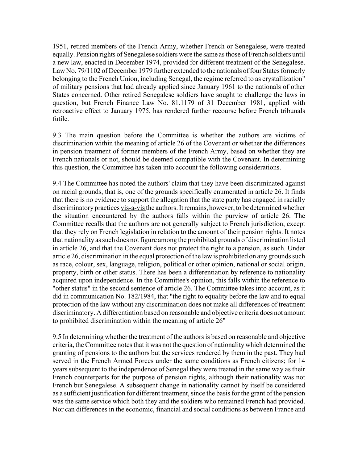1951, retired members of the French Army, whether French or Senegalese, were treated equally. Pension rights of Senegalese soldiers were the same as those of French soldiers until a new law, enacted in December 1974, provided for different treatment of the Senegalese. Law No. 79/1102 of December 1979 further extended to the nationals of four States formerly belonging to the French Union, including Senegal, the regime referred to as crystallization" of military pensions that had already applied since January 1961 to the nationals of other States concerned. Other retired Senegalese soldiers have sought to challenge the laws in question, but French Finance Law No. 81.1179 of 31 December 1981, applied with retroactive effect to January 1975, has rendered further recourse before French tribunals futile.

9.3 The main question before the Committee is whether the authors are victims of discrimination within the meaning of article 26 of the Covenant or whether the differences in pension treatment of former members of the French Army, based on whether they are French nationals or not, should be deemed compatible with the Covenant. In determining this question, the Committee has taken into account the following considerations.

9.4 The Committee has noted the authors' claim that they have been discriminated against on racial grounds, that is, one of the grounds specifically enumerated in article 26. It finds that there is no evidence to support the allegation that the state party has engaged in racially discriminatory practices vis-a-vis the authors. It remains, however, to be determined whether the situation encountered by the authors falls within the purview of article 26. The Committee recalls that the authors are not generally subject to French jurisdiction, except that they rely on French legislation in relation to the amount of their pension rights. It notes that nationality as such does not figure among the prohibited grounds of discrimination listed in article 26, and that the Covenant does not protect the right to a pension, as such. Under article 26, discrimination in the equal protection of the law is prohibited on any grounds such as race, colour, sex, language, religion, political or other opinion, national or social origin, property, birth or other status. There has been a differentiation by reference to nationality acquired upon independence. In the Committee's opinion, this falls within the reference to "other status" in the second sentence of article 26. The Committee takes into account, as it did in communication No. 182/1984, that "the right to equality before the law and to equal protection of the law without any discrimination does not make all differences of treatment discriminatory. A differentiation based on reasonable and objective criteria does not amount to prohibited discrimination within the meaning of article 26"

9.5 In determining whether the treatment of the authors is based on reasonable and objective criteria, the Committee notes that it was not the question of nationality which determined the granting of pensions to the authors but the services rendered by them in the past. They had served in the French Armed Forces under the same conditions as French citizens; for 14 years subsequent to the independence of Senegal they were treated in the same way as their French counterparts for the purpose of pension rights, although their nationality was not French but Senegalese. A subsequent change in nationality cannot by itself be considered as a sufficient justification for different treatment, since the basis for the grant of the pension was the same service which both they and the soldiers who remained French had provided. Nor can differences in the economic, financial and social conditions as between France and